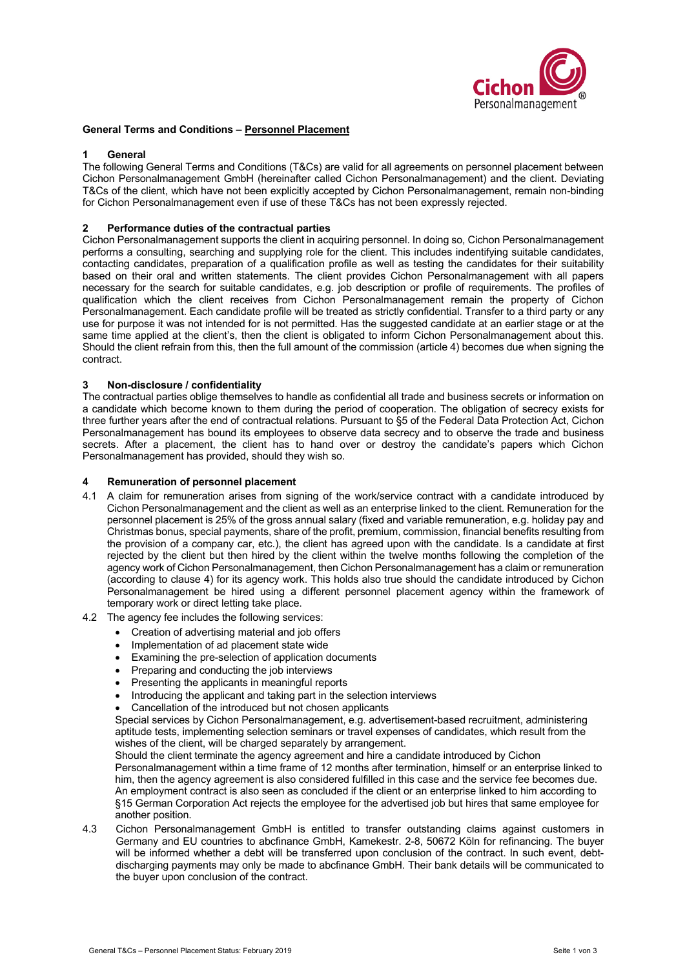

# **General Terms and Conditions – Personnel Placement**

### **1 General**

The following General Terms and Conditions (T&Cs) are valid for all agreements on personnel placement between Cichon Personalmanagement GmbH (hereinafter called Cichon Personalmanagement) and the client. Deviating T&Cs of the client, which have not been explicitly accepted by Cichon Personalmanagement, remain non-binding for Cichon Personalmanagement even if use of these T&Cs has not been expressly rejected.

# **2 Performance duties of the contractual parties**

Cichon Personalmanagement supports the client in acquiring personnel. In doing so, Cichon Personalmanagement performs a consulting, searching and supplying role for the client. This includes indentifying suitable candidates, contacting candidates, preparation of a qualification profile as well as testing the candidates for their suitability based on their oral and written statements. The client provides Cichon Personalmanagement with all papers necessary for the search for suitable candidates, e.g. job description or profile of requirements. The profiles of qualification which the client receives from Cichon Personalmanagement remain the property of Cichon Personalmanagement. Each candidate profile will be treated as strictly confidential. Transfer to a third party or any use for purpose it was not intended for is not permitted. Has the suggested candidate at an earlier stage or at the same time applied at the client's, then the client is obligated to inform Cichon Personalmanagement about this. Should the client refrain from this, then the full amount of the commission (article 4) becomes due when signing the contract.

# **3 Non-disclosure / confidentiality**

The contractual parties oblige themselves to handle as confidential all trade and business secrets or information on a candidate which become known to them during the period of cooperation. The obligation of secrecy exists for three further years after the end of contractual relations. Pursuant to §5 of the Federal Data Protection Act, Cichon Personalmanagement has bound its employees to observe data secrecy and to observe the trade and business secrets. After a placement, the client has to hand over or destroy the candidate's papers which Cichon Personalmanagement has provided, should they wish so.

# **4 Remuneration of personnel placement**

- 4.1 A claim for remuneration arises from signing of the work/service contract with a candidate introduced by Cichon Personalmanagement and the client as well as an enterprise linked to the client. Remuneration for the personnel placement is 25% of the gross annual salary (fixed and variable remuneration, e.g. holiday pay and Christmas bonus, special payments, share of the profit, premium, commission, financial benefits resulting from the provision of a company car, etc.), the client has agreed upon with the candidate. Is a candidate at first rejected by the client but then hired by the client within the twelve months following the completion of the agency work of Cichon Personalmanagement, then Cichon Personalmanagement has a claim or remuneration (according to clause 4) for its agency work. This holds also true should the candidate introduced by Cichon Personalmanagement be hired using a different personnel placement agency within the framework of temporary work or direct letting take place.
- 4.2 The agency fee includes the following services:
	- Creation of advertising material and job offers
	- Implementation of ad placement state wide
	- Examining the pre-selection of application documents
	- Preparing and conducting the job interviews
	- Presenting the applicants in meaningful reports
	- Introducing the applicant and taking part in the selection interviews
	- Cancellation of the introduced but not chosen applicants

Special services by Cichon Personalmanagement, e.g. advertisement-based recruitment, administering aptitude tests, implementing selection seminars or travel expenses of candidates, which result from the wishes of the client, will be charged separately by arrangement.

Should the client terminate the agency agreement and hire a candidate introduced by Cichon Personalmanagement within a time frame of 12 months after termination, himself or an enterprise linked to him, then the agency agreement is also considered fulfilled in this case and the service fee becomes due. An employment contract is also seen as concluded if the client or an enterprise linked to him according to §15 German Corporation Act rejects the employee for the advertised job but hires that same employee for another position.

4.3 Cichon Personalmanagement GmbH is entitled to transfer outstanding claims against customers in Germany and EU countries to abcfinance GmbH, Kamekestr. 2-8, 50672 Köln for refinancing. The buyer will be informed whether a debt will be transferred upon conclusion of the contract. In such event, debtdischarging payments may only be made to abcfinance GmbH. Their bank details will be communicated to the buyer upon conclusion of the contract.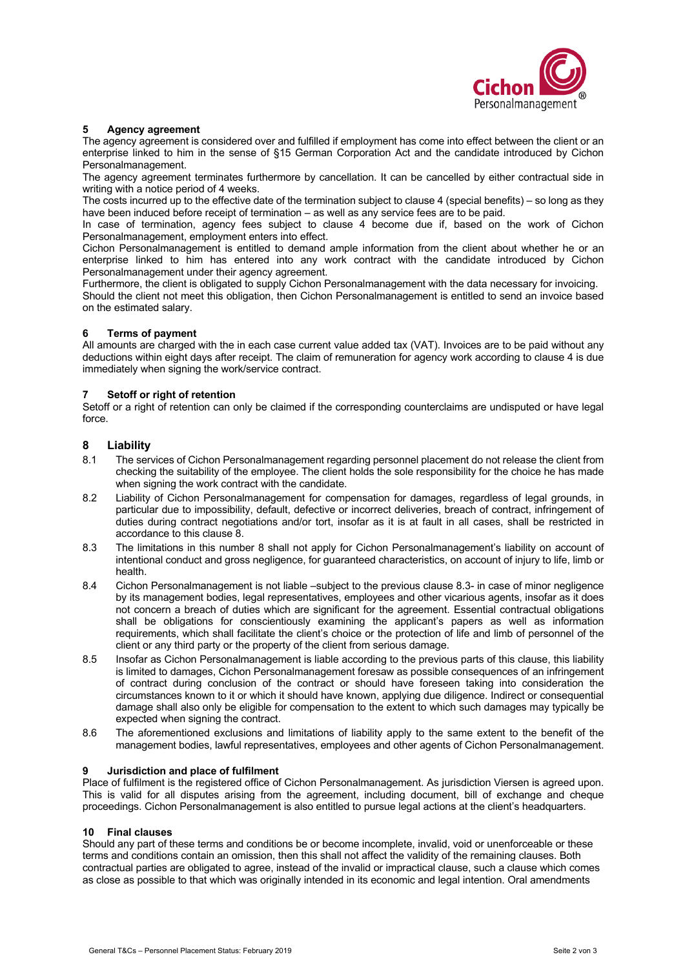

### **5 Agency agreement**

The agency agreement is considered over and fulfilled if employment has come into effect between the client or an enterprise linked to him in the sense of §15 German Corporation Act and the candidate introduced by Cichon Personalmanagement.

The agency agreement terminates furthermore by cancellation. It can be cancelled by either contractual side in writing with a notice period of 4 weeks.

The costs incurred up to the effective date of the termination subject to clause 4 (special benefits) – so long as they have been induced before receipt of termination – as well as any service fees are to be paid.

In case of termination, agency fees subject to clause 4 become due if, based on the work of Cichon Personalmanagement, employment enters into effect.

Cichon Personalmanagement is entitled to demand ample information from the client about whether he or an enterprise linked to him has entered into any work contract with the candidate introduced by Cichon Personalmanagement under their agency agreement.

Furthermore, the client is obligated to supply Cichon Personalmanagement with the data necessary for invoicing. Should the client not meet this obligation, then Cichon Personalmanagement is entitled to send an invoice based on the estimated salary.

# **6 Terms of payment**

All amounts are charged with the in each case current value added tax (VAT). Invoices are to be paid without any deductions within eight days after receipt. The claim of remuneration for agency work according to clause 4 is due immediately when signing the work/service contract.

# **7 Setoff or right of retention**

Setoff or a right of retention can only be claimed if the corresponding counterclaims are undisputed or have legal force.

# **8 Liability**

- 8.1 The services of Cichon Personalmanagement regarding personnel placement do not release the client from checking the suitability of the employee. The client holds the sole responsibility for the choice he has made when signing the work contract with the candidate.
- 8.2 Liability of Cichon Personalmanagement for compensation for damages, regardless of legal grounds, in particular due to impossibility, default, defective or incorrect deliveries, breach of contract, infringement of duties during contract negotiations and/or tort, insofar as it is at fault in all cases, shall be restricted in accordance to this clause 8.
- 8.3 The limitations in this number 8 shall not apply for Cichon Personalmanagement's liability on account of intentional conduct and gross negligence, for guaranteed characteristics, on account of injury to life, limb or health.
- 8.4 Cichon Personalmanagement is not liable –subject to the previous clause 8.3- in case of minor negligence by its management bodies, legal representatives, employees and other vicarious agents, insofar as it does not concern a breach of duties which are significant for the agreement. Essential contractual obligations shall be obligations for conscientiously examining the applicant's papers as well as information requirements, which shall facilitate the client's choice or the protection of life and limb of personnel of the client or any third party or the property of the client from serious damage.
- 8.5 Insofar as Cichon Personalmanagement is liable according to the previous parts of this clause, this liability is limited to damages, Cichon Personalmanagement foresaw as possible consequences of an infringement of contract during conclusion of the contract or should have foreseen taking into consideration the circumstances known to it or which it should have known, applying due diligence. Indirect or consequential damage shall also only be eligible for compensation to the extent to which such damages may typically be expected when signing the contract.
- 8.6 The aforementioned exclusions and limitations of liability apply to the same extent to the benefit of the management bodies, lawful representatives, employees and other agents of Cichon Personalmanagement.

### **9 Jurisdiction and place of fulfilment**

Place of fulfilment is the registered office of Cichon Personalmanagement. As jurisdiction Viersen is agreed upon. This is valid for all disputes arising from the agreement, including document, bill of exchange and cheque proceedings. Cichon Personalmanagement is also entitled to pursue legal actions at the client's headquarters.

### **10 Final clauses**

Should any part of these terms and conditions be or become incomplete, invalid, void or unenforceable or these terms and conditions contain an omission, then this shall not affect the validity of the remaining clauses. Both contractual parties are obligated to agree, instead of the invalid or impractical clause, such a clause which comes as close as possible to that which was originally intended in its economic and legal intention. Oral amendments